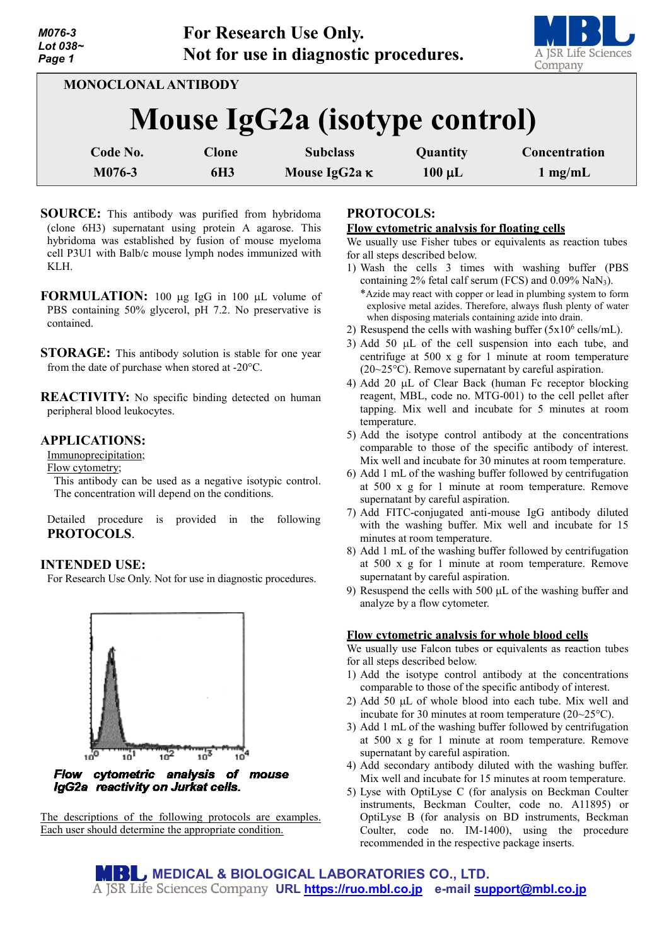| M076-3<br>Lot 038~<br>Page 1 |                                      | For Research Use Only.<br>Not for use in diagnostic procedures. |                         | A JSR Life Sciences<br>Company     |
|------------------------------|--------------------------------------|-----------------------------------------------------------------|-------------------------|------------------------------------|
|                              | <b>MONOCLONAL ANTIBODY</b>           |                                                                 |                         |                                    |
|                              | <b>Mouse IgG2a (isotype control)</b> |                                                                 |                         |                                    |
| Code No.<br>M076-3           | <b>Clone</b><br><b>6H3</b>           | <b>Subclass</b><br>Mouse IgG2a K                                | Quantity<br>$100 \mu L$ | Concentration<br>$1 \text{ mg/mL}$ |

- **SOURCE:** This antibody was purified from hybridoma (clone 6H3) supernatant using protein A agarose. This hybridoma was established by fusion of mouse myeloma cell P3U1 with Balb/c mouse lymph nodes immunized with KLH.
- **FORMULATION:** 100 µg IgG in 100 µL volume of PBS containing 50% glycerol, pH 7.2. No preservative is contained.
- **STORAGE:** This antibody solution is stable for one year from the date of purchase when stored at -20°C.
- **REACTIVITY:** No specific binding detected on human peripheral blood leukocytes.

# **APPLICATIONS:**

Immunoprecipitation;

Flow cytometry;

This antibody can be used as a negative isotypic control. The concentration will depend on the conditions.

Detailed procedure is provided in the following **PROTOCOLS**.

## **INTENDED USE:**

For Research Use Only. Not for use in diagnostic procedures.



Flow cytometric analysis of mouse IgG2a reactivity on Jurkat cells.

The descriptions of the following protocols are examples. Each user should determine the appropriate condition.

## **PROTOCOLS:**

### **Flow cytometric analysis for floating cells**

We usually use Fisher tubes or equivalents as reaction tubes for all steps described below.

- 1) Wash the cells 3 times with washing buffer (PBS containing  $2\%$  fetal calf serum (FCS) and  $0.09\%$  NaN<sub>3</sub>). \*Azide may react with copper or lead in plumbing system to form explosive metal azides. Therefore, always flush plenty of water when disposing materials containing azide into drain.
- 2) Resuspend the cells with washing buffer  $(5x10^6 \text{ cells/mL})$ .
- 3) Add 50 µL of the cell suspension into each tube, and centrifuge at 500 x g for 1 minute at room temperature (20~25°C). Remove supernatant by careful aspiration.
- 4) Add 20 µL of Clear Back (human Fc receptor blocking reagent, MBL, code no. MTG-001) to the cell pellet after tapping. Mix well and incubate for 5 minutes at room temperature.
- 5) Add the isotype control antibody at the concentrations comparable to those of the specific antibody of interest. Mix well and incubate for 30 minutes at room temperature.
- 6) Add 1 mL of the washing buffer followed by centrifugation at 500 x g for 1 minute at room temperature. Remove supernatant by careful aspiration.
- 7) Add FITC-conjugated anti-mouse IgG antibody diluted with the washing buffer. Mix well and incubate for 15 minutes at room temperature.
- 8) Add 1 mL of the washing buffer followed by centrifugation at 500 x g for 1 minute at room temperature. Remove supernatant by careful aspiration.
- 9) Resuspend the cells with 500 µL of the washing buffer and analyze by a flow cytometer.

## **Flow cytometric analysis for whole blood cells**

We usually use Falcon tubes or equivalents as reaction tubes for all steps described below.

- 1) Add the isotype control antibody at the concentrations comparable to those of the specific antibody of interest.
- 2) Add 50 µL of whole blood into each tube. Mix well and incubate for 30 minutes at room temperature (20~25°C).
- 3) Add 1 mL of the washing buffer followed by centrifugation at 500 x g for 1 minute at room temperature. Remove supernatant by careful aspiration.
- 4) Add secondary antibody diluted with the washing buffer. Mix well and incubate for 15 minutes at room temperature.
- 5) Lyse with OptiLyse C (for analysis on Beckman Coulter instruments, Beckman Coulter, code no. A11895) or OptiLyse B (for analysis on BD instruments, Beckman Coulter, code no. IM-1400), using the procedure recommended in the respective package inserts.